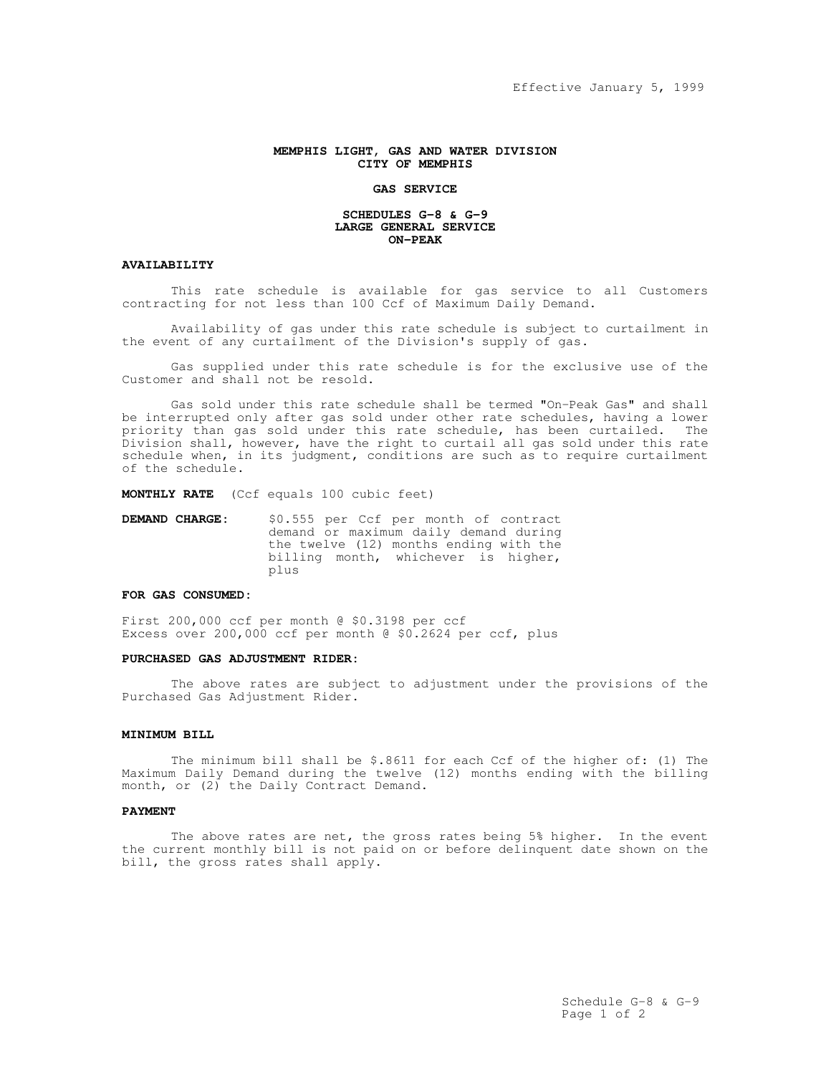## **MEMPHIS LIGHT, GAS AND WATER DIVISION CITY OF MEMPHIS**

#### **GAS SERVICE**

#### **SCHEDULES G-8 & G-9 LARGE GENERAL SERVICE ON-PEAK**

# **AVAILABILITY**

This rate schedule is available for gas service to all Customers contracting for not less than 100 Ccf of Maximum Daily Demand.

Availability of gas under this rate schedule is subject to curtailment in the event of any curtailment of the Division's supply of gas.

Gas supplied under this rate schedule is for the exclusive use of the Customer and shall not be resold.

Gas sold under this rate schedule shall be termed "On-Peak Gas" and shall be interrupted only after gas sold under other rate schedules, having a lower priority than gas sold under this rate schedule, has been curtailed. The Division shall, however, have the right to curtail all gas sold under this rate schedule when, in its judgment, conditions are such as to require curtailment of the schedule.

**MONTHLY RATE** (Ccf equals 100 cubic feet)

**DEMAND CHARGE:** \$0.555 per Ccf per month of contract demand or maximum daily demand during the twelve (12) months ending with the billing month, whichever is higher, plus

# **FOR GAS CONSUMED:**

First 200,000 ccf per month @ \$0.3198 per ccf Excess over 200,000 ccf per month @ \$0.2624 per ccf, plus

#### **PURCHASED GAS ADJUSTMENT RIDER:**

The above rates are subject to adjustment under the provisions of the Purchased Gas Adjustment Rider.

### **MINIMUM BILL**

The minimum bill shall be \$.8611 for each Ccf of the higher of: (1) The Maximum Daily Demand during the twelve (12) months ending with the billing month, or (2) the Daily Contract Demand.

## **PAYMENT**

The above rates are net, the gross rates being 5% higher. In the event the current monthly bill is not paid on or before delinquent date shown on the bill, the gross rates shall apply.